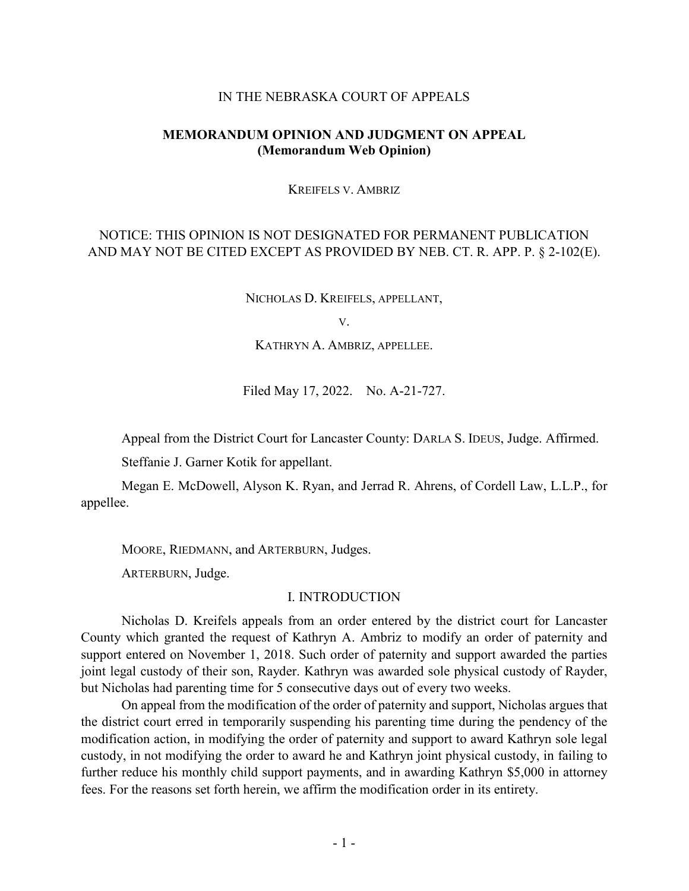#### IN THE NEBRASKA COURT OF APPEALS

## **MEMORANDUM OPINION AND JUDGMENT ON APPEAL (Memorandum Web Opinion)**

KREIFELS V. AMBRIZ

# NOTICE: THIS OPINION IS NOT DESIGNATED FOR PERMANENT PUBLICATION AND MAY NOT BE CITED EXCEPT AS PROVIDED BY NEB. CT. R. APP. P. § 2-102(E).

NICHOLAS D. KREIFELS, APPELLANT,

V.

KATHRYN A. AMBRIZ, APPELLEE.

Filed May 17, 2022. No. A-21-727.

Appeal from the District Court for Lancaster County: DARLA S. IDEUS, Judge. Affirmed.

Steffanie J. Garner Kotik for appellant.

Megan E. McDowell, Alyson K. Ryan, and Jerrad R. Ahrens, of Cordell Law, L.L.P., for appellee.

MOORE, RIEDMANN, and ARTERBURN, Judges.

ARTERBURN, Judge.

### I. INTRODUCTION

Nicholas D. Kreifels appeals from an order entered by the district court for Lancaster County which granted the request of Kathryn A. Ambriz to modify an order of paternity and support entered on November 1, 2018. Such order of paternity and support awarded the parties joint legal custody of their son, Rayder. Kathryn was awarded sole physical custody of Rayder, but Nicholas had parenting time for 5 consecutive days out of every two weeks.

On appeal from the modification of the order of paternity and support, Nicholas argues that the district court erred in temporarily suspending his parenting time during the pendency of the modification action, in modifying the order of paternity and support to award Kathryn sole legal custody, in not modifying the order to award he and Kathryn joint physical custody, in failing to further reduce his monthly child support payments, and in awarding Kathryn \$5,000 in attorney fees. For the reasons set forth herein, we affirm the modification order in its entirety.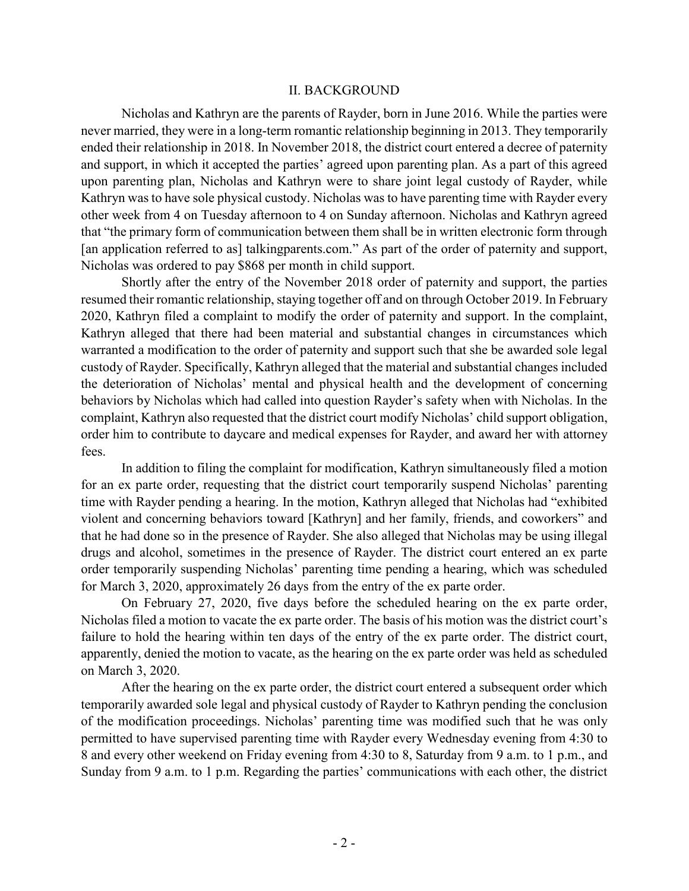#### II. BACKGROUND

Nicholas and Kathryn are the parents of Rayder, born in June 2016. While the parties were never married, they were in a long-term romantic relationship beginning in 2013. They temporarily ended their relationship in 2018. In November 2018, the district court entered a decree of paternity and support, in which it accepted the parties' agreed upon parenting plan. As a part of this agreed upon parenting plan, Nicholas and Kathryn were to share joint legal custody of Rayder, while Kathryn was to have sole physical custody. Nicholas was to have parenting time with Rayder every other week from 4 on Tuesday afternoon to 4 on Sunday afternoon. Nicholas and Kathryn agreed that "the primary form of communication between them shall be in written electronic form through [an application referred to as] talkingparents.com." As part of the order of paternity and support, Nicholas was ordered to pay \$868 per month in child support.

Shortly after the entry of the November 2018 order of paternity and support, the parties resumed their romantic relationship, staying together off and on through October 2019. In February 2020, Kathryn filed a complaint to modify the order of paternity and support. In the complaint, Kathryn alleged that there had been material and substantial changes in circumstances which warranted a modification to the order of paternity and support such that she be awarded sole legal custody of Rayder. Specifically, Kathryn alleged that the material and substantial changes included the deterioration of Nicholas' mental and physical health and the development of concerning behaviors by Nicholas which had called into question Rayder's safety when with Nicholas. In the complaint, Kathryn also requested that the district court modify Nicholas' child support obligation, order him to contribute to daycare and medical expenses for Rayder, and award her with attorney fees.

In addition to filing the complaint for modification, Kathryn simultaneously filed a motion for an ex parte order, requesting that the district court temporarily suspend Nicholas' parenting time with Rayder pending a hearing. In the motion, Kathryn alleged that Nicholas had "exhibited violent and concerning behaviors toward [Kathryn] and her family, friends, and coworkers" and that he had done so in the presence of Rayder. She also alleged that Nicholas may be using illegal drugs and alcohol, sometimes in the presence of Rayder. The district court entered an ex parte order temporarily suspending Nicholas' parenting time pending a hearing, which was scheduled for March 3, 2020, approximately 26 days from the entry of the ex parte order.

On February 27, 2020, five days before the scheduled hearing on the ex parte order, Nicholas filed a motion to vacate the ex parte order. The basis of his motion was the district court's failure to hold the hearing within ten days of the entry of the ex parte order. The district court, apparently, denied the motion to vacate, as the hearing on the ex parte order was held as scheduled on March 3, 2020.

After the hearing on the ex parte order, the district court entered a subsequent order which temporarily awarded sole legal and physical custody of Rayder to Kathryn pending the conclusion of the modification proceedings. Nicholas' parenting time was modified such that he was only permitted to have supervised parenting time with Rayder every Wednesday evening from 4:30 to 8 and every other weekend on Friday evening from 4:30 to 8, Saturday from 9 a.m. to 1 p.m., and Sunday from 9 a.m. to 1 p.m. Regarding the parties' communications with each other, the district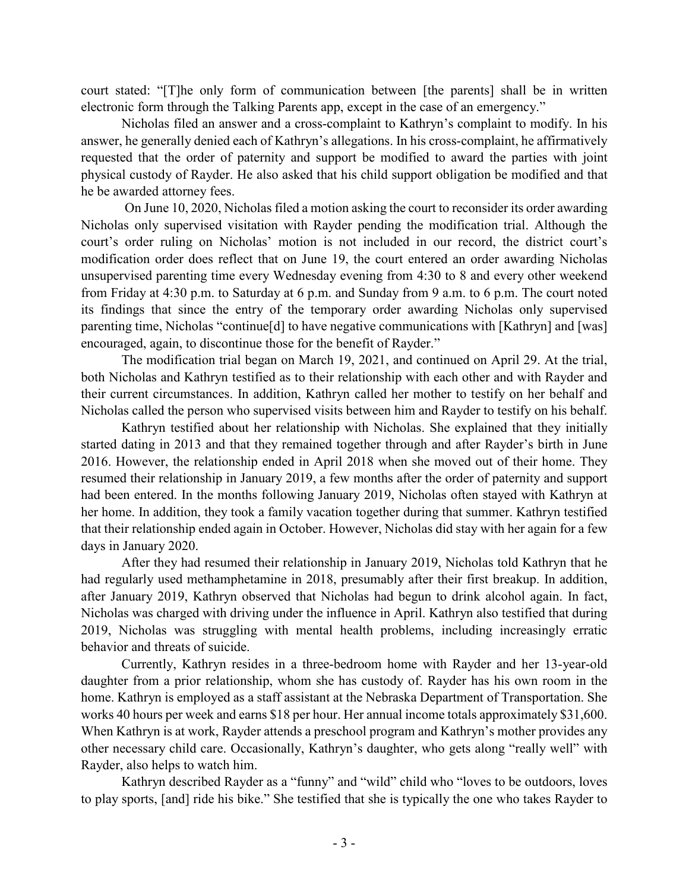court stated: "[T]he only form of communication between [the parents] shall be in written electronic form through the Talking Parents app, except in the case of an emergency."

Nicholas filed an answer and a cross-complaint to Kathryn's complaint to modify. In his answer, he generally denied each of Kathryn's allegations. In his cross-complaint, he affirmatively requested that the order of paternity and support be modified to award the parties with joint physical custody of Rayder. He also asked that his child support obligation be modified and that he be awarded attorney fees.

On June 10, 2020, Nicholas filed a motion asking the court to reconsider its order awarding Nicholas only supervised visitation with Rayder pending the modification trial. Although the court's order ruling on Nicholas' motion is not included in our record, the district court's modification order does reflect that on June 19, the court entered an order awarding Nicholas unsupervised parenting time every Wednesday evening from 4:30 to 8 and every other weekend from Friday at 4:30 p.m. to Saturday at 6 p.m. and Sunday from 9 a.m. to 6 p.m. The court noted its findings that since the entry of the temporary order awarding Nicholas only supervised parenting time, Nicholas "continue[d] to have negative communications with [Kathryn] and [was] encouraged, again, to discontinue those for the benefit of Rayder."

The modification trial began on March 19, 2021, and continued on April 29. At the trial, both Nicholas and Kathryn testified as to their relationship with each other and with Rayder and their current circumstances. In addition, Kathryn called her mother to testify on her behalf and Nicholas called the person who supervised visits between him and Rayder to testify on his behalf.

Kathryn testified about her relationship with Nicholas. She explained that they initially started dating in 2013 and that they remained together through and after Rayder's birth in June 2016. However, the relationship ended in April 2018 when she moved out of their home. They resumed their relationship in January 2019, a few months after the order of paternity and support had been entered. In the months following January 2019, Nicholas often stayed with Kathryn at her home. In addition, they took a family vacation together during that summer. Kathryn testified that their relationship ended again in October. However, Nicholas did stay with her again for a few days in January 2020.

After they had resumed their relationship in January 2019, Nicholas told Kathryn that he had regularly used methamphetamine in 2018, presumably after their first breakup. In addition, after January 2019, Kathryn observed that Nicholas had begun to drink alcohol again. In fact, Nicholas was charged with driving under the influence in April. Kathryn also testified that during 2019, Nicholas was struggling with mental health problems, including increasingly erratic behavior and threats of suicide.

Currently, Kathryn resides in a three-bedroom home with Rayder and her 13-year-old daughter from a prior relationship, whom she has custody of. Rayder has his own room in the home. Kathryn is employed as a staff assistant at the Nebraska Department of Transportation. She works 40 hours per week and earns \$18 per hour. Her annual income totals approximately \$31,600. When Kathryn is at work, Rayder attends a preschool program and Kathryn's mother provides any other necessary child care. Occasionally, Kathryn's daughter, who gets along "really well" with Rayder, also helps to watch him.

Kathryn described Rayder as a "funny" and "wild" child who "loves to be outdoors, loves to play sports, [and] ride his bike." She testified that she is typically the one who takes Rayder to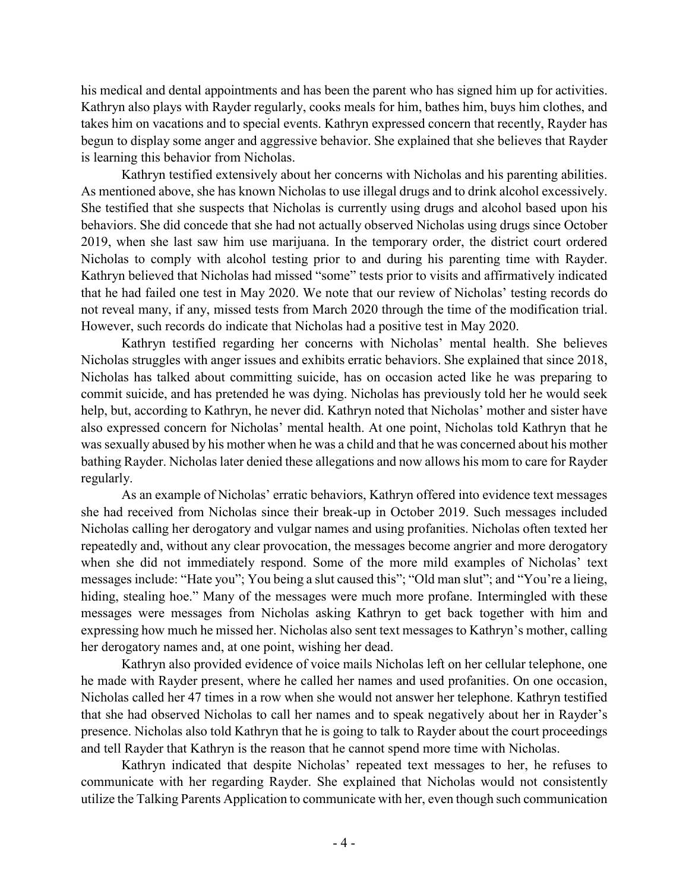his medical and dental appointments and has been the parent who has signed him up for activities. Kathryn also plays with Rayder regularly, cooks meals for him, bathes him, buys him clothes, and takes him on vacations and to special events. Kathryn expressed concern that recently, Rayder has begun to display some anger and aggressive behavior. She explained that she believes that Rayder is learning this behavior from Nicholas.

Kathryn testified extensively about her concerns with Nicholas and his parenting abilities. As mentioned above, she has known Nicholas to use illegal drugs and to drink alcohol excessively. She testified that she suspects that Nicholas is currently using drugs and alcohol based upon his behaviors. She did concede that she had not actually observed Nicholas using drugs since October 2019, when she last saw him use marijuana. In the temporary order, the district court ordered Nicholas to comply with alcohol testing prior to and during his parenting time with Rayder. Kathryn believed that Nicholas had missed "some" tests prior to visits and affirmatively indicated that he had failed one test in May 2020. We note that our review of Nicholas' testing records do not reveal many, if any, missed tests from March 2020 through the time of the modification trial. However, such records do indicate that Nicholas had a positive test in May 2020.

Kathryn testified regarding her concerns with Nicholas' mental health. She believes Nicholas struggles with anger issues and exhibits erratic behaviors. She explained that since 2018, Nicholas has talked about committing suicide, has on occasion acted like he was preparing to commit suicide, and has pretended he was dying. Nicholas has previously told her he would seek help, but, according to Kathryn, he never did. Kathryn noted that Nicholas' mother and sister have also expressed concern for Nicholas' mental health. At one point, Nicholas told Kathryn that he was sexually abused by his mother when he was a child and that he was concerned about his mother bathing Rayder. Nicholas later denied these allegations and now allows his mom to care for Rayder regularly.

As an example of Nicholas' erratic behaviors, Kathryn offered into evidence text messages she had received from Nicholas since their break-up in October 2019. Such messages included Nicholas calling her derogatory and vulgar names and using profanities. Nicholas often texted her repeatedly and, without any clear provocation, the messages become angrier and more derogatory when she did not immediately respond. Some of the more mild examples of Nicholas' text messages include: "Hate you"; You being a slut caused this"; "Old man slut"; and "You're a lieing, hiding, stealing hoe." Many of the messages were much more profane. Intermingled with these messages were messages from Nicholas asking Kathryn to get back together with him and expressing how much he missed her. Nicholas also sent text messages to Kathryn's mother, calling her derogatory names and, at one point, wishing her dead.

Kathryn also provided evidence of voice mails Nicholas left on her cellular telephone, one he made with Rayder present, where he called her names and used profanities. On one occasion, Nicholas called her 47 times in a row when she would not answer her telephone. Kathryn testified that she had observed Nicholas to call her names and to speak negatively about her in Rayder's presence. Nicholas also told Kathryn that he is going to talk to Rayder about the court proceedings and tell Rayder that Kathryn is the reason that he cannot spend more time with Nicholas.

Kathryn indicated that despite Nicholas' repeated text messages to her, he refuses to communicate with her regarding Rayder. She explained that Nicholas would not consistently utilize the Talking Parents Application to communicate with her, even though such communication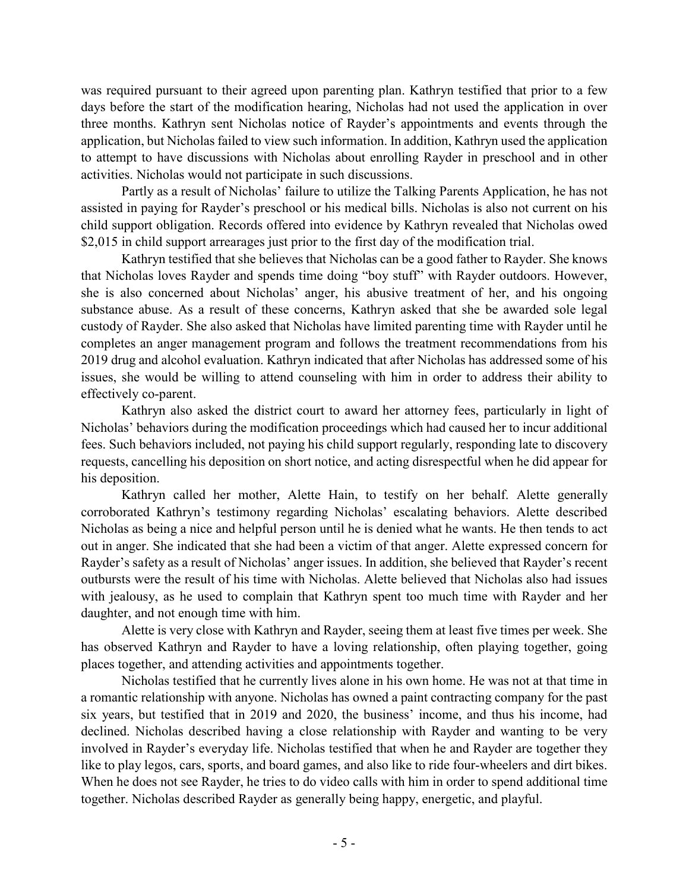was required pursuant to their agreed upon parenting plan. Kathryn testified that prior to a few days before the start of the modification hearing, Nicholas had not used the application in over three months. Kathryn sent Nicholas notice of Rayder's appointments and events through the application, but Nicholas failed to view such information. In addition, Kathryn used the application to attempt to have discussions with Nicholas about enrolling Rayder in preschool and in other activities. Nicholas would not participate in such discussions.

Partly as a result of Nicholas' failure to utilize the Talking Parents Application, he has not assisted in paying for Rayder's preschool or his medical bills. Nicholas is also not current on his child support obligation. Records offered into evidence by Kathryn revealed that Nicholas owed \$2,015 in child support arrearages just prior to the first day of the modification trial.

Kathryn testified that she believes that Nicholas can be a good father to Rayder. She knows that Nicholas loves Rayder and spends time doing "boy stuff" with Rayder outdoors. However, she is also concerned about Nicholas' anger, his abusive treatment of her, and his ongoing substance abuse. As a result of these concerns, Kathryn asked that she be awarded sole legal custody of Rayder. She also asked that Nicholas have limited parenting time with Rayder until he completes an anger management program and follows the treatment recommendations from his 2019 drug and alcohol evaluation. Kathryn indicated that after Nicholas has addressed some of his issues, she would be willing to attend counseling with him in order to address their ability to effectively co-parent.

Kathryn also asked the district court to award her attorney fees, particularly in light of Nicholas' behaviors during the modification proceedings which had caused her to incur additional fees. Such behaviors included, not paying his child support regularly, responding late to discovery requests, cancelling his deposition on short notice, and acting disrespectful when he did appear for his deposition.

Kathryn called her mother, Alette Hain, to testify on her behalf. Alette generally corroborated Kathryn's testimony regarding Nicholas' escalating behaviors. Alette described Nicholas as being a nice and helpful person until he is denied what he wants. He then tends to act out in anger. She indicated that she had been a victim of that anger. Alette expressed concern for Rayder's safety as a result of Nicholas' anger issues. In addition, she believed that Rayder's recent outbursts were the result of his time with Nicholas. Alette believed that Nicholas also had issues with jealousy, as he used to complain that Kathryn spent too much time with Rayder and her daughter, and not enough time with him.

Alette is very close with Kathryn and Rayder, seeing them at least five times per week. She has observed Kathryn and Rayder to have a loving relationship, often playing together, going places together, and attending activities and appointments together.

Nicholas testified that he currently lives alone in his own home. He was not at that time in a romantic relationship with anyone. Nicholas has owned a paint contracting company for the past six years, but testified that in 2019 and 2020, the business' income, and thus his income, had declined. Nicholas described having a close relationship with Rayder and wanting to be very involved in Rayder's everyday life. Nicholas testified that when he and Rayder are together they like to play legos, cars, sports, and board games, and also like to ride four-wheelers and dirt bikes. When he does not see Rayder, he tries to do video calls with him in order to spend additional time together. Nicholas described Rayder as generally being happy, energetic, and playful.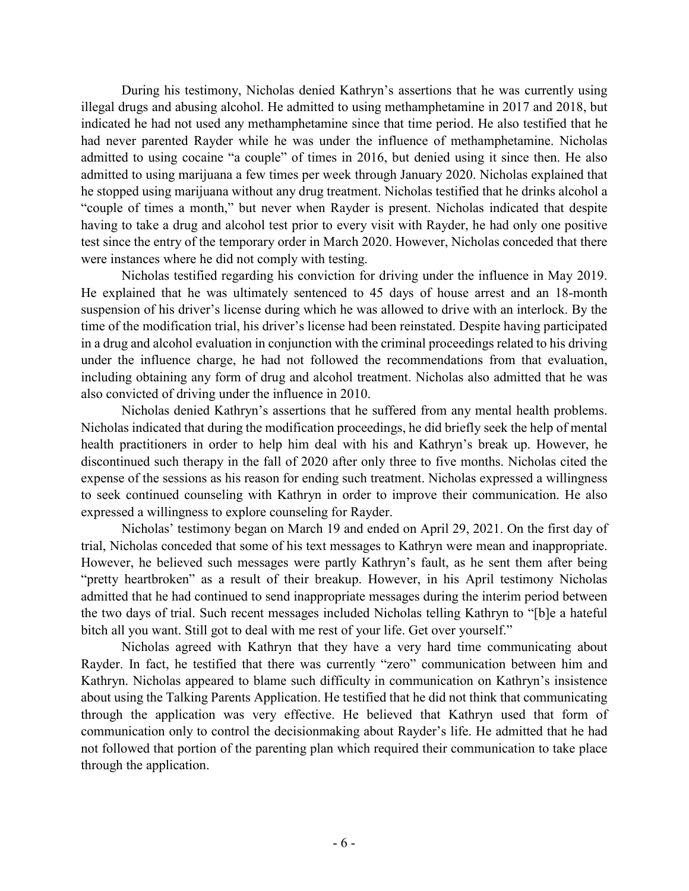During his testimony, Nicholas denied Kathryn's assertions that he was currently using illegal drugs and abusing alcohol. He admitted to using methamphetamine in 2017 and 2018, but indicated he had not used any methamphetamine since that time period. He also testified that he had never parented Rayder while he was under the influence of methamphetamine. Nicholas admitted to using cocaine "a couple" of times in 2016, but denied using it since then. He also admitted to using marijuana a few times per week through January 2020. Nicholas explained that he stopped using marijuana without any drug treatment. Nicholas testified that he drinks alcohol a "couple of times a month," but never when Rayder is present. Nicholas indicated that despite having to take a drug and alcohol test prior to every visit with Rayder, he had only one positive test since the entry of the temporary order in March 2020. However, Nicholas conceded that there were instances where he did not comply with testing.

Nicholas testified regarding his conviction for driving under the influence in May 2019. He explained that he was ultimately sentenced to 45 days of house arrest and an 18-month suspension of his driver's license during which he was allowed to drive with an interlock. By the time of the modification trial, his driver's license had been reinstated. Despite having participated in a drug and alcohol evaluation in conjunction with the criminal proceedings related to his driving under the influence charge, he had not followed the recommendations from that evaluation, including obtaining any form of drug and alcohol treatment. Nicholas also admitted that he was also convicted of driving under the influence in 2010.

Nicholas denied Kathryn's assertions that he suffered from any mental health problems. Nicholas indicated that during the modification proceedings, he did briefly seek the help of mental health practitioners in order to help him deal with his and Kathryn's break up. However, he discontinued such therapy in the fall of 2020 after only three to five months. Nicholas cited the expense of the sessions as his reason for ending such treatment. Nicholas expressed a willingness to seek continued counseling with Kathryn in order to improve their communication. He also expressed a willingness to explore counseling for Rayder.

Nicholas' testimony began on March 19 and ended on April 29, 2021. On the first day of trial, Nicholas conceded that some of his text messages to Kathryn were mean and inappropriate. However, he believed such messages were partly Kathryn's fault, as he sent them after being "pretty heartbroken" as a result of their breakup. However, in his April testimony Nicholas admitted that he had continued to send inappropriate messages during the interim period between the two days of trial. Such recent messages included Nicholas telling Kathryn to "[b]e a hateful bitch all you want. Still got to deal with me rest of your life. Get over yourself."

Nicholas agreed with Kathryn that they have a very hard time communicating about Rayder. In fact, he testified that there was currently "zero" communication between him and Kathryn. Nicholas appeared to blame such difficulty in communication on Kathryn's insistence about using the Talking Parents Application. He testified that he did not think that communicating through the application was very effective. He believed that Kathryn used that form of communication only to control the decisionmaking about Rayder's life. He admitted that he had not followed that portion of the parenting plan which required their communication to take place through the application.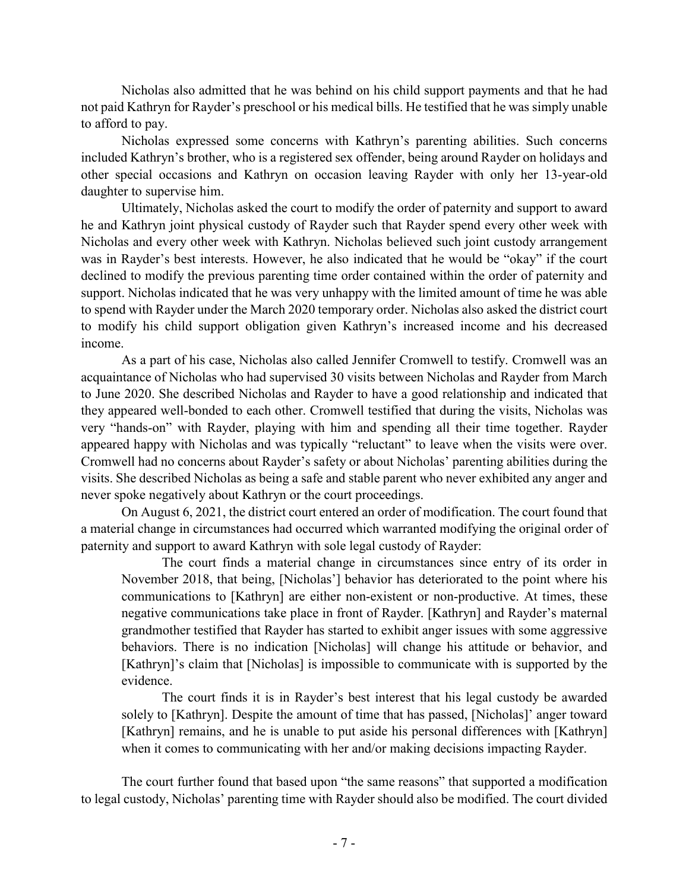Nicholas also admitted that he was behind on his child support payments and that he had not paid Kathryn for Rayder's preschool or his medical bills. He testified that he was simply unable to afford to pay.

Nicholas expressed some concerns with Kathryn's parenting abilities. Such concerns included Kathryn's brother, who is a registered sex offender, being around Rayder on holidays and other special occasions and Kathryn on occasion leaving Rayder with only her 13-year-old daughter to supervise him.

Ultimately, Nicholas asked the court to modify the order of paternity and support to award he and Kathryn joint physical custody of Rayder such that Rayder spend every other week with Nicholas and every other week with Kathryn. Nicholas believed such joint custody arrangement was in Rayder's best interests. However, he also indicated that he would be "okay" if the court declined to modify the previous parenting time order contained within the order of paternity and support. Nicholas indicated that he was very unhappy with the limited amount of time he was able to spend with Rayder under the March 2020 temporary order. Nicholas also asked the district court to modify his child support obligation given Kathryn's increased income and his decreased income.

As a part of his case, Nicholas also called Jennifer Cromwell to testify. Cromwell was an acquaintance of Nicholas who had supervised 30 visits between Nicholas and Rayder from March to June 2020. She described Nicholas and Rayder to have a good relationship and indicated that they appeared well-bonded to each other. Cromwell testified that during the visits, Nicholas was very "hands-on" with Rayder, playing with him and spending all their time together. Rayder appeared happy with Nicholas and was typically "reluctant" to leave when the visits were over. Cromwell had no concerns about Rayder's safety or about Nicholas' parenting abilities during the visits. She described Nicholas as being a safe and stable parent who never exhibited any anger and never spoke negatively about Kathryn or the court proceedings.

On August 6, 2021, the district court entered an order of modification. The court found that a material change in circumstances had occurred which warranted modifying the original order of paternity and support to award Kathryn with sole legal custody of Rayder:

The court finds a material change in circumstances since entry of its order in November 2018, that being, [Nicholas'] behavior has deteriorated to the point where his communications to [Kathryn] are either non-existent or non-productive. At times, these negative communications take place in front of Rayder. [Kathryn] and Rayder's maternal grandmother testified that Rayder has started to exhibit anger issues with some aggressive behaviors. There is no indication [Nicholas] will change his attitude or behavior, and [Kathryn]'s claim that [Nicholas] is impossible to communicate with is supported by the evidence.

The court finds it is in Rayder's best interest that his legal custody be awarded solely to [Kathryn]. Despite the amount of time that has passed, [Nicholas]' anger toward [Kathryn] remains, and he is unable to put aside his personal differences with [Kathryn] when it comes to communicating with her and/or making decisions impacting Rayder.

The court further found that based upon "the same reasons" that supported a modification to legal custody, Nicholas' parenting time with Rayder should also be modified. The court divided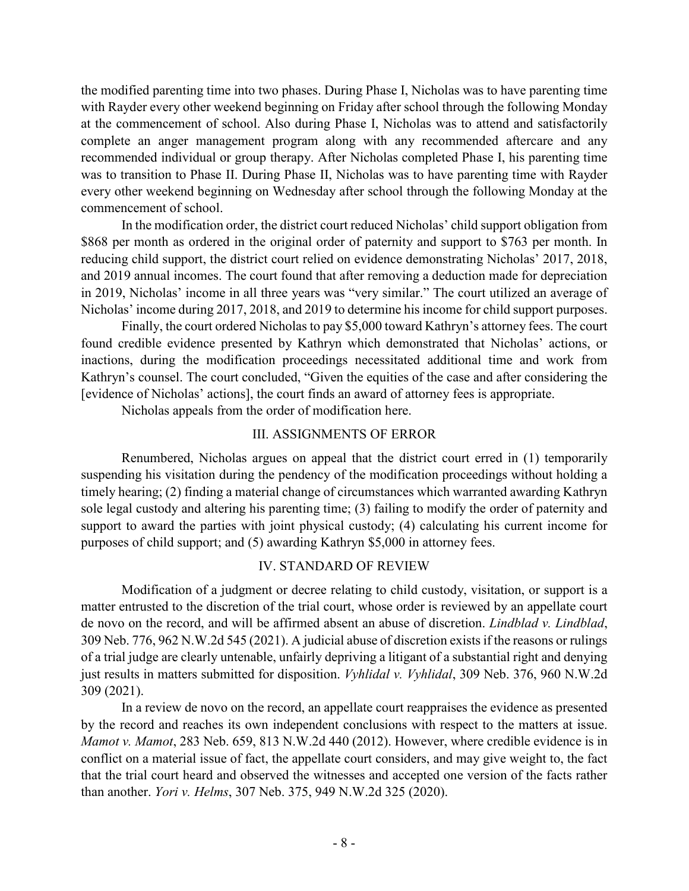the modified parenting time into two phases. During Phase I, Nicholas was to have parenting time with Rayder every other weekend beginning on Friday after school through the following Monday at the commencement of school. Also during Phase I, Nicholas was to attend and satisfactorily complete an anger management program along with any recommended aftercare and any recommended individual or group therapy. After Nicholas completed Phase I, his parenting time was to transition to Phase II. During Phase II, Nicholas was to have parenting time with Rayder every other weekend beginning on Wednesday after school through the following Monday at the commencement of school.

In the modification order, the district court reduced Nicholas' child support obligation from \$868 per month as ordered in the original order of paternity and support to \$763 per month. In reducing child support, the district court relied on evidence demonstrating Nicholas' 2017, 2018, and 2019 annual incomes. The court found that after removing a deduction made for depreciation in 2019, Nicholas' income in all three years was "very similar." The court utilized an average of Nicholas' income during 2017, 2018, and 2019 to determine his income for child support purposes.

Finally, the court ordered Nicholas to pay \$5,000 toward Kathryn's attorney fees. The court found credible evidence presented by Kathryn which demonstrated that Nicholas' actions, or inactions, during the modification proceedings necessitated additional time and work from Kathryn's counsel. The court concluded, "Given the equities of the case and after considering the [evidence of Nicholas' actions], the court finds an award of attorney fees is appropriate.

Nicholas appeals from the order of modification here.

## III. ASSIGNMENTS OF ERROR

Renumbered, Nicholas argues on appeal that the district court erred in (1) temporarily suspending his visitation during the pendency of the modification proceedings without holding a timely hearing; (2) finding a material change of circumstances which warranted awarding Kathryn sole legal custody and altering his parenting time; (3) failing to modify the order of paternity and support to award the parties with joint physical custody; (4) calculating his current income for purposes of child support; and (5) awarding Kathryn \$5,000 in attorney fees.

# IV. STANDARD OF REVIEW

Modification of a judgment or decree relating to child custody, visitation, or support is a matter entrusted to the discretion of the trial court, whose order is reviewed by an appellate court de novo on the record, and will be affirmed absent an abuse of discretion. *Lindblad v. Lindblad*, 309 Neb. 776, 962 N.W.2d 545 (2021). A judicial abuse of discretion exists if the reasons or rulings of a trial judge are clearly untenable, unfairly depriving a litigant of a substantial right and denying just results in matters submitted for disposition. *Vyhlidal v. Vyhlidal*, 309 Neb. 376, 960 N.W.2d 309 (2021).

In a review de novo on the record, an appellate court reappraises the evidence as presented by the record and reaches its own independent conclusions with respect to the matters at issue. *Mamot v. Mamot*, 283 Neb. 659, 813 N.W.2d 440 (2012). However, where credible evidence is in conflict on a material issue of fact, the appellate court considers, and may give weight to, the fact that the trial court heard and observed the witnesses and accepted one version of the facts rather than another. *Yori v. Helms*, 307 Neb. 375, 949 N.W.2d 325 (2020).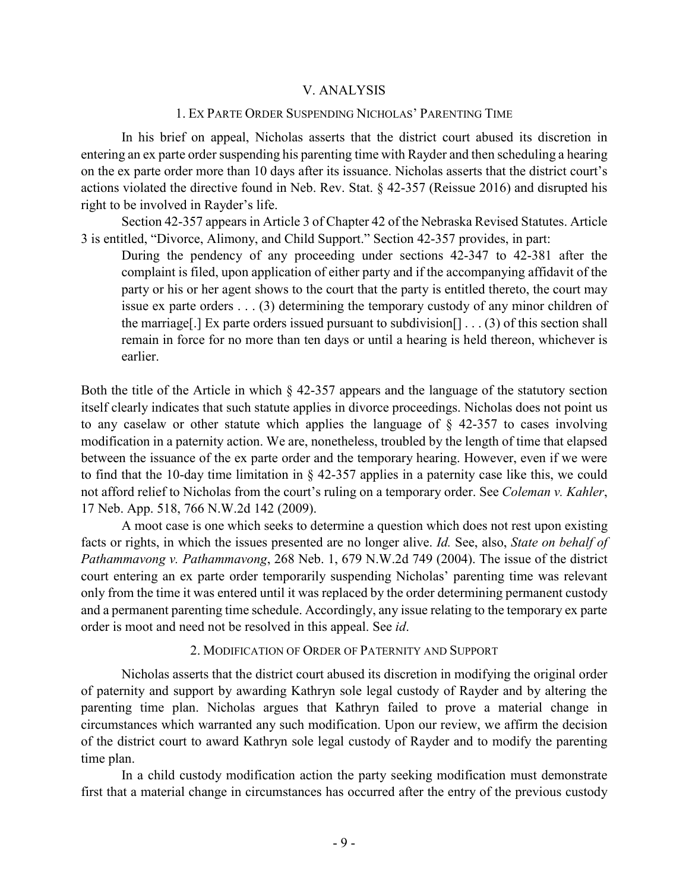## V. ANALYSIS

#### 1. EX PARTE ORDER SUSPENDING NICHOLAS' PARENTING TIME

In his brief on appeal, Nicholas asserts that the district court abused its discretion in entering an ex parte order suspending his parenting time with Rayder and then scheduling a hearing on the ex parte order more than 10 days after its issuance. Nicholas asserts that the district court's actions violated the directive found in Neb. Rev. Stat. § 42-357 (Reissue 2016) and disrupted his right to be involved in Rayder's life.

Section 42-357 appears in Article 3 of Chapter 42 of the Nebraska Revised Statutes. Article 3 is entitled, "Divorce, Alimony, and Child Support." Section 42-357 provides, in part:

During the pendency of any proceeding under sections 42-347 to 42-381 after the complaint is filed, upon application of either party and if the accompanying affidavit of the party or his or her agent shows to the court that the party is entitled thereto, the court may issue ex parte orders . . . (3) determining the temporary custody of any minor children of the marriage. [In Exparte orders issued pursuant to subdivision  $[1 \dots (3)$  of this section shall remain in force for no more than ten days or until a hearing is held thereon, whichever is earlier.

Both the title of the Article in which § 42-357 appears and the language of the statutory section itself clearly indicates that such statute applies in divorce proceedings. Nicholas does not point us to any caselaw or other statute which applies the language of § 42-357 to cases involving modification in a paternity action. We are, nonetheless, troubled by the length of time that elapsed between the issuance of the ex parte order and the temporary hearing. However, even if we were to find that the 10-day time limitation in § 42-357 applies in a paternity case like this, we could not afford relief to Nicholas from the court's ruling on a temporary order. See *Coleman v. Kahler*, 17 Neb. App. 518, 766 N.W.2d 142 (2009).

A moot case is one which seeks to determine a question which does not rest upon existing facts or rights, in which the issues presented are no longer alive. *Id.* See, also, *State on behalf of Pathammavong v. Pathammavong*, 268 Neb. 1, 679 N.W.2d 749 (2004). The issue of the district court entering an ex parte order temporarily suspending Nicholas' parenting time was relevant only from the time it was entered until it was replaced by the order determining permanent custody and a permanent parenting time schedule. Accordingly, any issue relating to the temporary ex parte order is moot and need not be resolved in this appeal. See *id*.

### 2. MODIFICATION OF ORDER OF PATERNITY AND SUPPORT

Nicholas asserts that the district court abused its discretion in modifying the original order of paternity and support by awarding Kathryn sole legal custody of Rayder and by altering the parenting time plan. Nicholas argues that Kathryn failed to prove a material change in circumstances which warranted any such modification. Upon our review, we affirm the decision of the district court to award Kathryn sole legal custody of Rayder and to modify the parenting time plan.

In a child custody modification action the party seeking modification must demonstrate first that a material change in circumstances has occurred after the entry of the previous custody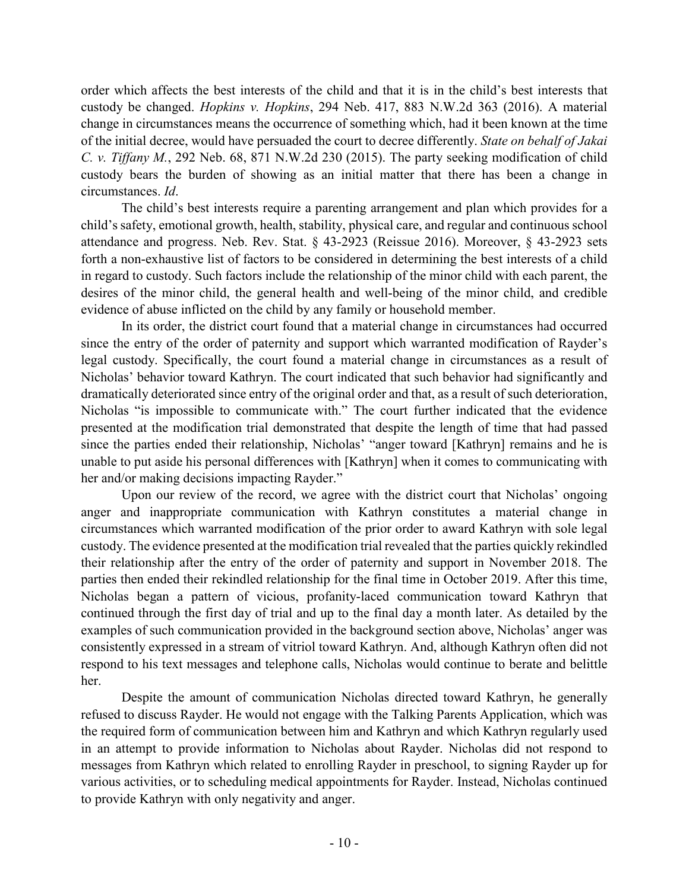order which affects the best interests of the child and that it is in the child's best interests that custody be changed. *Hopkins v. Hopkins*, 294 Neb. 417, 883 N.W.2d 363 (2016). A material change in circumstances means the occurrence of something which, had it been known at the time of the initial decree, would have persuaded the court to decree differently. *State on behalf of Jakai C. v. Tiffany M.*, 292 Neb. 68, 871 N.W.2d 230 (2015). The party seeking modification of child custody bears the burden of showing as an initial matter that there has been a change in circumstances. *Id*.

The child's best interests require a parenting arrangement and plan which provides for a child's safety, emotional growth, health, stability, physical care, and regular and continuous school attendance and progress. Neb. Rev. Stat. § 43-2923 (Reissue 2016). Moreover, § 43-2923 sets forth a non-exhaustive list of factors to be considered in determining the best interests of a child in regard to custody. Such factors include the relationship of the minor child with each parent, the desires of the minor child, the general health and well-being of the minor child, and credible evidence of abuse inflicted on the child by any family or household member.

In its order, the district court found that a material change in circumstances had occurred since the entry of the order of paternity and support which warranted modification of Rayder's legal custody. Specifically, the court found a material change in circumstances as a result of Nicholas' behavior toward Kathryn. The court indicated that such behavior had significantly and dramatically deteriorated since entry of the original order and that, as a result of such deterioration, Nicholas "is impossible to communicate with." The court further indicated that the evidence presented at the modification trial demonstrated that despite the length of time that had passed since the parties ended their relationship, Nicholas' "anger toward [Kathryn] remains and he is unable to put aside his personal differences with [Kathryn] when it comes to communicating with her and/or making decisions impacting Rayder."

Upon our review of the record, we agree with the district court that Nicholas' ongoing anger and inappropriate communication with Kathryn constitutes a material change in circumstances which warranted modification of the prior order to award Kathryn with sole legal custody. The evidence presented at the modification trial revealed that the parties quickly rekindled their relationship after the entry of the order of paternity and support in November 2018. The parties then ended their rekindled relationship for the final time in October 2019. After this time, Nicholas began a pattern of vicious, profanity-laced communication toward Kathryn that continued through the first day of trial and up to the final day a month later. As detailed by the examples of such communication provided in the background section above, Nicholas' anger was consistently expressed in a stream of vitriol toward Kathryn. And, although Kathryn often did not respond to his text messages and telephone calls, Nicholas would continue to berate and belittle her.

Despite the amount of communication Nicholas directed toward Kathryn, he generally refused to discuss Rayder. He would not engage with the Talking Parents Application, which was the required form of communication between him and Kathryn and which Kathryn regularly used in an attempt to provide information to Nicholas about Rayder. Nicholas did not respond to messages from Kathryn which related to enrolling Rayder in preschool, to signing Rayder up for various activities, or to scheduling medical appointments for Rayder. Instead, Nicholas continued to provide Kathryn with only negativity and anger.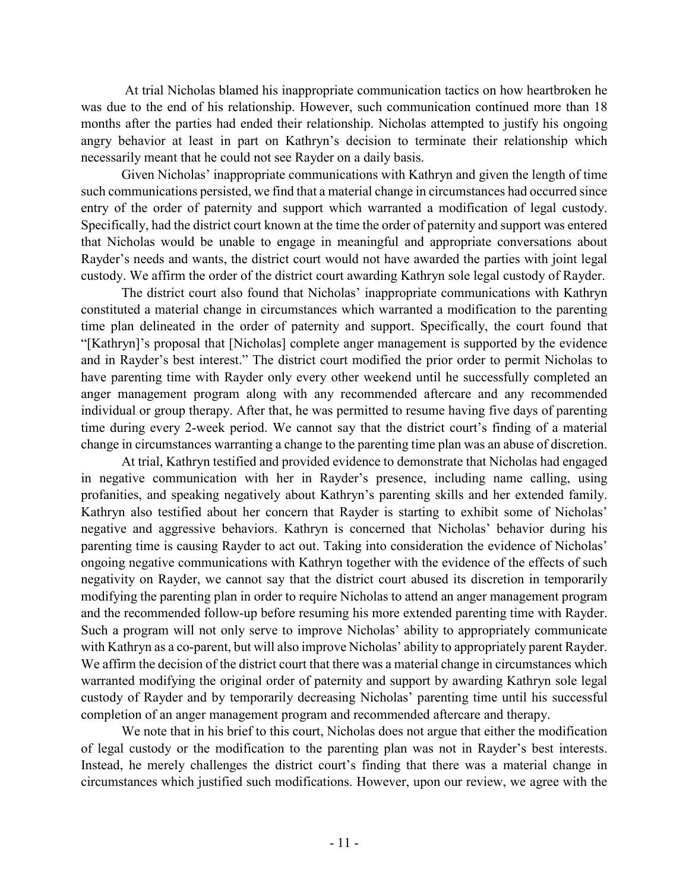At trial Nicholas blamed his inappropriate communication tactics on how heartbroken he was due to the end of his relationship. However, such communication continued more than 18 months after the parties had ended their relationship. Nicholas attempted to justify his ongoing angry behavior at least in part on Kathryn's decision to terminate their relationship which necessarily meant that he could not see Rayder on a daily basis.

Given Nicholas' inappropriate communications with Kathryn and given the length of time such communications persisted, we find that a material change in circumstances had occurred since entry of the order of paternity and support which warranted a modification of legal custody. Specifically, had the district court known at the time the order of paternity and support was entered that Nicholas would be unable to engage in meaningful and appropriate conversations about Rayder's needs and wants, the district court would not have awarded the parties with joint legal custody. We affirm the order of the district court awarding Kathryn sole legal custody of Rayder.

The district court also found that Nicholas' inappropriate communications with Kathryn constituted a material change in circumstances which warranted a modification to the parenting time plan delineated in the order of paternity and support. Specifically, the court found that "[Kathryn]'s proposal that [Nicholas] complete anger management is supported by the evidence and in Rayder's best interest." The district court modified the prior order to permit Nicholas to have parenting time with Rayder only every other weekend until he successfully completed an anger management program along with any recommended aftercare and any recommended individual or group therapy. After that, he was permitted to resume having five days of parenting time during every 2-week period. We cannot say that the district court's finding of a material change in circumstances warranting a change to the parenting time plan was an abuse of discretion.

At trial, Kathryn testified and provided evidence to demonstrate that Nicholas had engaged in negative communication with her in Rayder's presence, including name calling, using profanities, and speaking negatively about Kathryn's parenting skills and her extended family. Kathryn also testified about her concern that Rayder is starting to exhibit some of Nicholas' negative and aggressive behaviors. Kathryn is concerned that Nicholas' behavior during his parenting time is causing Rayder to act out. Taking into consideration the evidence of Nicholas' ongoing negative communications with Kathryn together with the evidence of the effects of such negativity on Rayder, we cannot say that the district court abused its discretion in temporarily modifying the parenting plan in order to require Nicholas to attend an anger management program and the recommended follow-up before resuming his more extended parenting time with Rayder. Such a program will not only serve to improve Nicholas' ability to appropriately communicate with Kathryn as a co-parent, but will also improve Nicholas' ability to appropriately parent Rayder. We affirm the decision of the district court that there was a material change in circumstances which warranted modifying the original order of paternity and support by awarding Kathryn sole legal custody of Rayder and by temporarily decreasing Nicholas' parenting time until his successful completion of an anger management program and recommended aftercare and therapy.

We note that in his brief to this court, Nicholas does not argue that either the modification of legal custody or the modification to the parenting plan was not in Rayder's best interests. Instead, he merely challenges the district court's finding that there was a material change in circumstances which justified such modifications. However, upon our review, we agree with the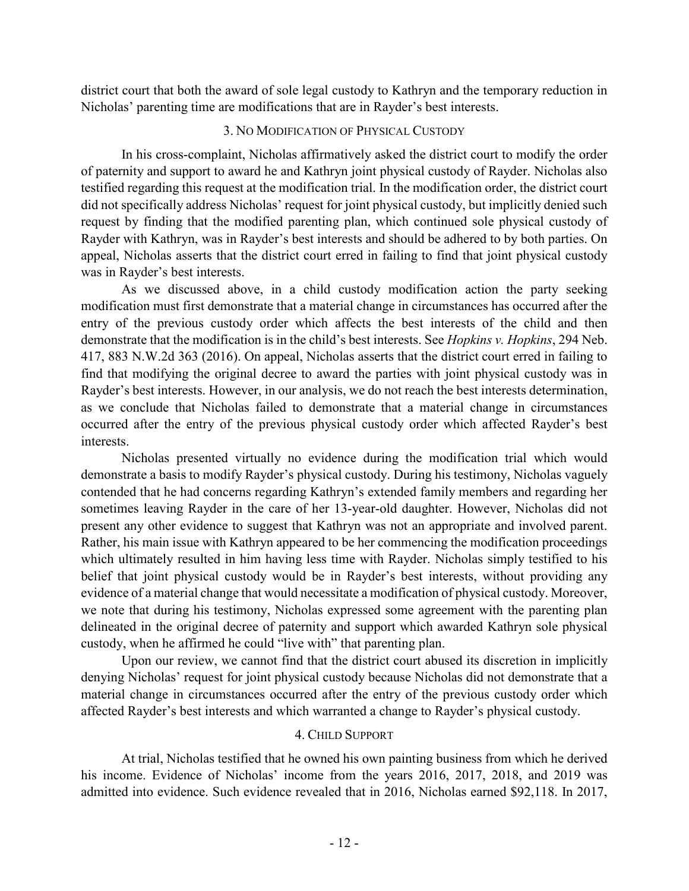district court that both the award of sole legal custody to Kathryn and the temporary reduction in Nicholas' parenting time are modifications that are in Rayder's best interests.

### 3. NO MODIFICATION OF PHYSICAL CUSTODY

In his cross-complaint, Nicholas affirmatively asked the district court to modify the order of paternity and support to award he and Kathryn joint physical custody of Rayder. Nicholas also testified regarding this request at the modification trial. In the modification order, the district court did not specifically address Nicholas' request for joint physical custody, but implicitly denied such request by finding that the modified parenting plan, which continued sole physical custody of Rayder with Kathryn, was in Rayder's best interests and should be adhered to by both parties. On appeal, Nicholas asserts that the district court erred in failing to find that joint physical custody was in Rayder's best interests.

As we discussed above, in a child custody modification action the party seeking modification must first demonstrate that a material change in circumstances has occurred after the entry of the previous custody order which affects the best interests of the child and then demonstrate that the modification is in the child's best interests. See *Hopkins v. Hopkins*, 294 Neb. 417, 883 N.W.2d 363 (2016). On appeal, Nicholas asserts that the district court erred in failing to find that modifying the original decree to award the parties with joint physical custody was in Rayder's best interests. However, in our analysis, we do not reach the best interests determination, as we conclude that Nicholas failed to demonstrate that a material change in circumstances occurred after the entry of the previous physical custody order which affected Rayder's best interests.

Nicholas presented virtually no evidence during the modification trial which would demonstrate a basis to modify Rayder's physical custody. During his testimony, Nicholas vaguely contended that he had concerns regarding Kathryn's extended family members and regarding her sometimes leaving Rayder in the care of her 13-year-old daughter. However, Nicholas did not present any other evidence to suggest that Kathryn was not an appropriate and involved parent. Rather, his main issue with Kathryn appeared to be her commencing the modification proceedings which ultimately resulted in him having less time with Rayder. Nicholas simply testified to his belief that joint physical custody would be in Rayder's best interests, without providing any evidence of a material change that would necessitate a modification of physical custody. Moreover, we note that during his testimony, Nicholas expressed some agreement with the parenting plan delineated in the original decree of paternity and support which awarded Kathryn sole physical custody, when he affirmed he could "live with" that parenting plan.

Upon our review, we cannot find that the district court abused its discretion in implicitly denying Nicholas' request for joint physical custody because Nicholas did not demonstrate that a material change in circumstances occurred after the entry of the previous custody order which affected Rayder's best interests and which warranted a change to Rayder's physical custody.

## 4. CHILD SUPPORT

At trial, Nicholas testified that he owned his own painting business from which he derived his income. Evidence of Nicholas' income from the years 2016, 2017, 2018, and 2019 was admitted into evidence. Such evidence revealed that in 2016, Nicholas earned \$92,118. In 2017,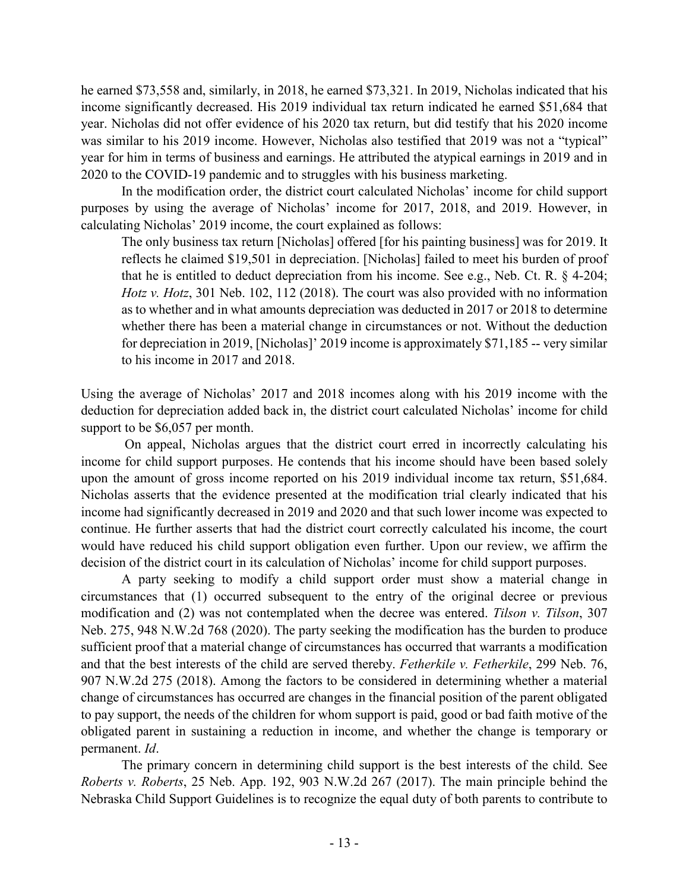he earned \$73,558 and, similarly, in 2018, he earned \$73,321. In 2019, Nicholas indicated that his income significantly decreased. His 2019 individual tax return indicated he earned \$51,684 that year. Nicholas did not offer evidence of his 2020 tax return, but did testify that his 2020 income was similar to his 2019 income. However, Nicholas also testified that 2019 was not a "typical" year for him in terms of business and earnings. He attributed the atypical earnings in 2019 and in 2020 to the COVID-19 pandemic and to struggles with his business marketing.

In the modification order, the district court calculated Nicholas' income for child support purposes by using the average of Nicholas' income for 2017, 2018, and 2019. However, in calculating Nicholas' 2019 income, the court explained as follows:

The only business tax return [Nicholas] offered [for his painting business] was for 2019. It reflects he claimed \$19,501 in depreciation. [Nicholas] failed to meet his burden of proof that he is entitled to deduct depreciation from his income. See e.g., Neb. Ct. R. § 4-204; *Hotz v. Hotz*, 301 Neb. 102, 112 (2018). The court was also provided with no information as to whether and in what amounts depreciation was deducted in 2017 or 2018 to determine whether there has been a material change in circumstances or not. Without the deduction for depreciation in 2019, [Nicholas]' 2019 income is approximately \$71,185 -- very similar to his income in 2017 and 2018.

Using the average of Nicholas' 2017 and 2018 incomes along with his 2019 income with the deduction for depreciation added back in, the district court calculated Nicholas' income for child support to be \$6,057 per month.

On appeal, Nicholas argues that the district court erred in incorrectly calculating his income for child support purposes. He contends that his income should have been based solely upon the amount of gross income reported on his 2019 individual income tax return, \$51,684. Nicholas asserts that the evidence presented at the modification trial clearly indicated that his income had significantly decreased in 2019 and 2020 and that such lower income was expected to continue. He further asserts that had the district court correctly calculated his income, the court would have reduced his child support obligation even further. Upon our review, we affirm the decision of the district court in its calculation of Nicholas' income for child support purposes.

A party seeking to modify a child support order must show a material change in circumstances that (1) occurred subsequent to the entry of the original decree or previous modification and (2) was not contemplated when the decree was entered. *Tilson v. Tilson*, 307 Neb. 275, 948 N.W.2d 768 (2020). The party seeking the modification has the burden to produce sufficient proof that a material change of circumstances has occurred that warrants a modification and that the best interests of the child are served thereby. *Fetherkile v. Fetherkile*, 299 Neb. 76, 907 N.W.2d 275 (2018). Among the factors to be considered in determining whether a material change of circumstances has occurred are changes in the financial position of the parent obligated to pay support, the needs of the children for whom support is paid, good or bad faith motive of the obligated parent in sustaining a reduction in income, and whether the change is temporary or permanent. *Id*.

The primary concern in determining child support is the best interests of the child. See *Roberts v. Roberts*, 25 Neb. App. 192, 903 N.W.2d 267 (2017). The main principle behind the Nebraska Child Support Guidelines is to recognize the equal duty of both parents to contribute to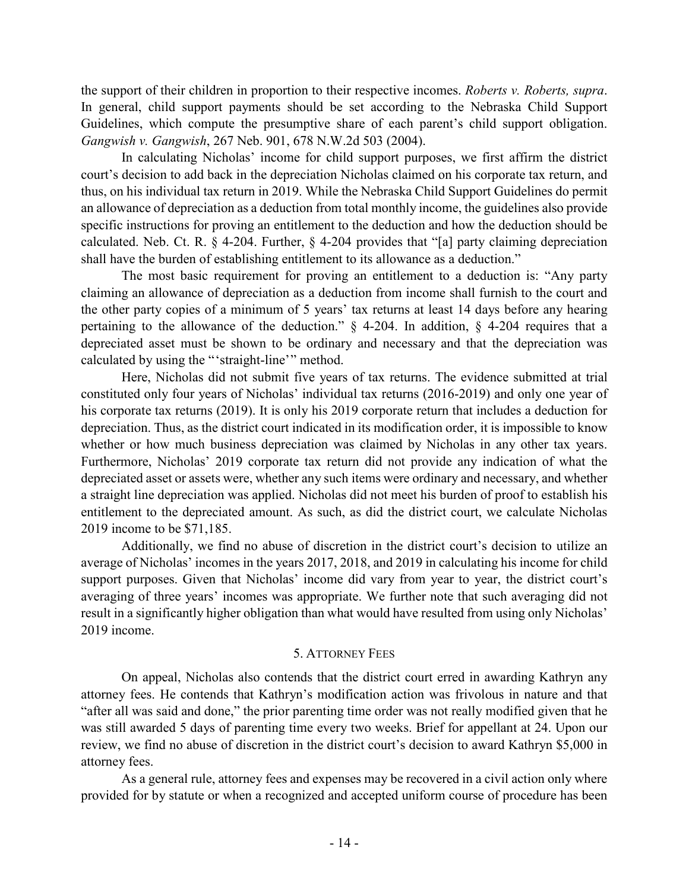the support of their children in proportion to their respective incomes. *Roberts v. Roberts, supra*. In general, child support payments should be set according to the Nebraska Child Support Guidelines, which compute the presumptive share of each parent's child support obligation. *Gangwish v. Gangwish*, 267 Neb. 901, 678 N.W.2d 503 (2004).

In calculating Nicholas' income for child support purposes, we first affirm the district court's decision to add back in the depreciation Nicholas claimed on his corporate tax return, and thus, on his individual tax return in 2019. While the Nebraska Child Support Guidelines do permit an allowance of depreciation as a deduction from total monthly income, the guidelines also provide specific instructions for proving an entitlement to the deduction and how the deduction should be calculated. Neb. Ct. R. § 4-204. Further, § 4-204 provides that "[a] party claiming depreciation shall have the burden of establishing entitlement to its allowance as a deduction."

The most basic requirement for proving an entitlement to a deduction is: "Any party claiming an allowance of depreciation as a deduction from income shall furnish to the court and the other party copies of a minimum of 5 years' tax returns at least 14 days before any hearing pertaining to the allowance of the deduction." § 4-204. In addition, § 4-204 requires that a depreciated asset must be shown to be ordinary and necessary and that the depreciation was calculated by using the "'straight-line'" method.

Here, Nicholas did not submit five years of tax returns. The evidence submitted at trial constituted only four years of Nicholas' individual tax returns (2016-2019) and only one year of his corporate tax returns (2019). It is only his 2019 corporate return that includes a deduction for depreciation. Thus, as the district court indicated in its modification order, it is impossible to know whether or how much business depreciation was claimed by Nicholas in any other tax years. Furthermore, Nicholas' 2019 corporate tax return did not provide any indication of what the depreciated asset or assets were, whether any such items were ordinary and necessary, and whether a straight line depreciation was applied. Nicholas did not meet his burden of proof to establish his entitlement to the depreciated amount. As such, as did the district court, we calculate Nicholas 2019 income to be \$71,185.

Additionally, we find no abuse of discretion in the district court's decision to utilize an average of Nicholas' incomes in the years 2017, 2018, and 2019 in calculating his income for child support purposes. Given that Nicholas' income did vary from year to year, the district court's averaging of three years' incomes was appropriate. We further note that such averaging did not result in a significantly higher obligation than what would have resulted from using only Nicholas' 2019 income.

## 5. ATTORNEY FEES

On appeal, Nicholas also contends that the district court erred in awarding Kathryn any attorney fees. He contends that Kathryn's modification action was frivolous in nature and that "after all was said and done," the prior parenting time order was not really modified given that he was still awarded 5 days of parenting time every two weeks. Brief for appellant at 24. Upon our review, we find no abuse of discretion in the district court's decision to award Kathryn \$5,000 in attorney fees.

As a general rule, attorney fees and expenses may be recovered in a civil action only where provided for by statute or when a recognized and accepted uniform course of procedure has been